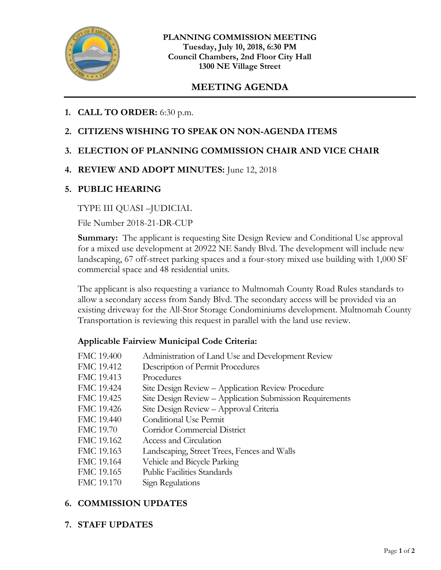

# **MEETING AGENDA**

- **1. CALL TO ORDER:** 6:30 p.m.
- **2. CITIZENS WISHING TO SPEAK ON NON-AGENDA ITEMS**

## **3. ELECTION OF PLANNING COMMISSION CHAIR AND VICE CHAIR**

**4. REVIEW AND ADOPT MINUTES:** June 12, 2018

### **5. PUBLIC HEARING**

### TYPE III QUASI –JUDICIAL

File Number 2018-21-DR-CUP

**Summary:** The applicant is requesting Site Design Review and Conditional Use approval for a mixed use development at 20922 NE Sandy Blvd. The development will include new landscaping, 67 off-street parking spaces and a four-story mixed use building with 1,000 SF commercial space and 48 residential units.

The applicant is also requesting a variance to Multnomah County Road Rules standards to allow a secondary access from Sandy Blvd. The secondary access will be provided via an existing driveway for the All-Stor Storage Condominiums development. Multnomah County Transportation is reviewing this request in parallel with the land use review.

### **Applicable Fairview Municipal Code Criteria:**

| FMC 19.400       | Administration of Land Use and Development Review        |
|------------------|----------------------------------------------------------|
| FMC 19.412       | Description of Permit Procedures                         |
| FMC 19.413       | Procedures                                               |
| FMC 19.424       | Site Design Review - Application Review Procedure        |
| FMC 19.425       | Site Design Review - Application Submission Requirements |
| FMC 19.426       | Site Design Review - Approval Criteria                   |
| FMC 19.440       | Conditional Use Permit                                   |
| <b>FMC 19.70</b> | <b>Corridor Commercial District</b>                      |
| FMC 19.162       | Access and Circulation                                   |
| FMC 19.163       | Landscaping, Street Trees, Fences and Walls              |
| FMC 19.164       | Vehicle and Bicycle Parking                              |
| FMC 19.165       | <b>Public Facilities Standards</b>                       |
| FMC 19.170       | Sign Regulations                                         |
|                  |                                                          |

### **6. COMMISSION UPDATES**

**7. STAFF UPDATES**